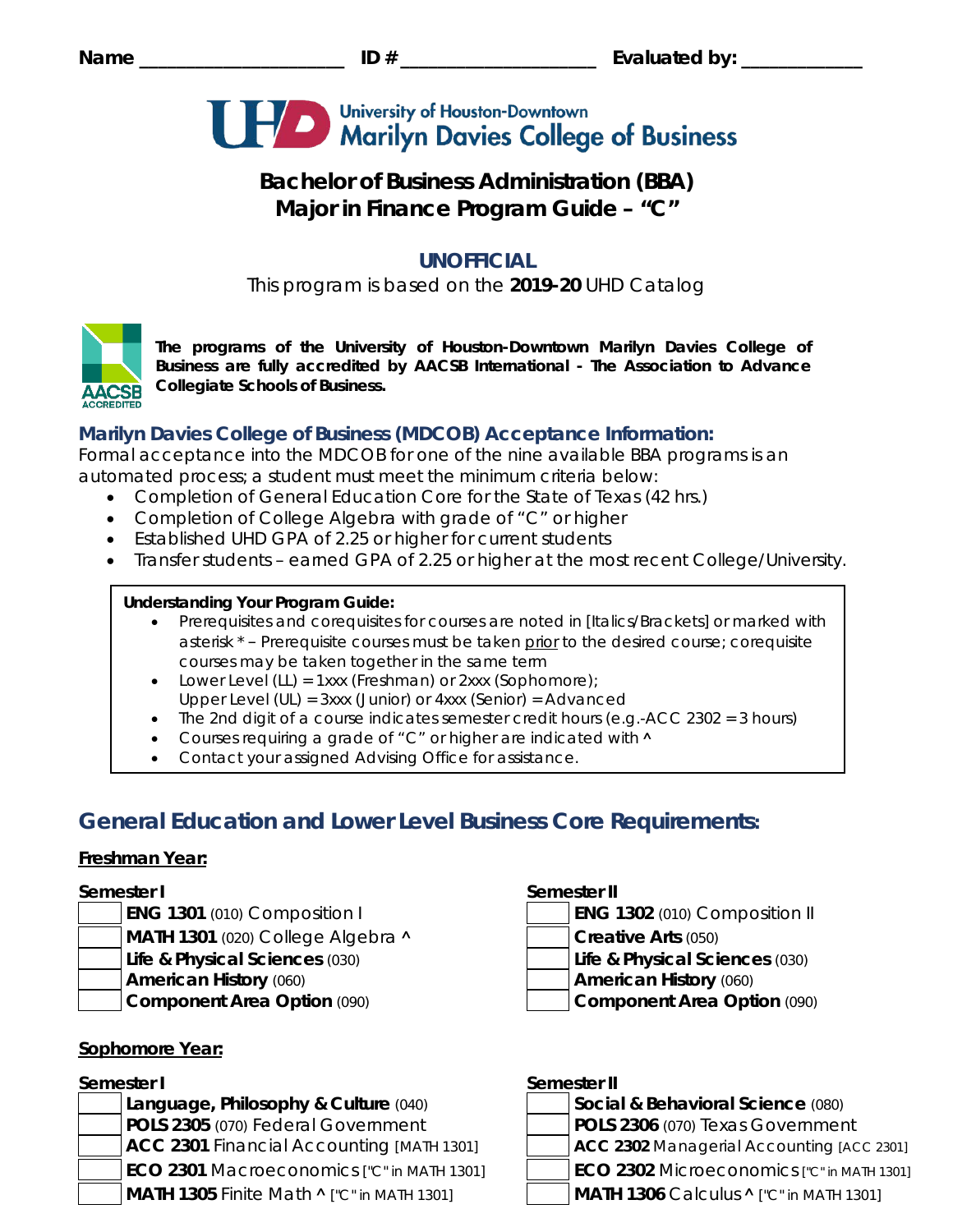

# **Bachelor of Business Administration (BBA) Major in Finance Program Guide – "C"**

# **UNOFFICIAL**

This program is based on the **2019-20** UHD Catalog



*The programs of the University of Houston-Downtown Marilyn Davies College of Business are fully accredited by AACSB International - The Association to Advance Collegiate Schools of Business.*

# **Marilyn Davies College of Business (MDCOB) Acceptance Information:**

Formal acceptance into the MDCOB for one of the nine available BBA programs is an automated process; a student must meet the minimum criteria below:

- Completion of General Education Core for the State of Texas (42 hrs.)
- Completion of College Algebra with grade of "C" or higher
- Established UHD GPA of 2.25 or higher for current students
- Transfer students earned GPA of 2.25 or higher at the most recent College/University.

## **Understanding Your Program Guide:**

- Prerequisites and corequisites for courses are noted in *[Italics/Brackets]* or marked with asterisk \* – Prerequisite courses must be taken prior to the desired course; corequisite courses may be taken together in the same term
- Lower Level (LL) = 1xxx (Freshman) or 2xxx (Sophomore);
- Upper Level (UL) = 3xxx (Junior) or 4xxx (Senior) = Advanced
- The 2nd digit of a course indicates semester credit hours (e.g.-ACC 2302 = 3 hours)
- Courses requiring a grade of "C" or higher are indicated with  $\land$
- Contact your assigned Advising Office for assistance.

# **General Education and Lower Level Business Core Requirements:**

## **Freshman Year:**

- 
- **MATH 1301** (020) College Algebra **˄ Creative Arts** (050)
- **Life & Physical Sciences** (030) **Life & Physical Sciences** (030)
- 
- 

# **Sophomore Year:**

**Language, Philosophy & Culture (040) POLS 2305** (070) Federal Government **POLS 2306** (070) Texas Government **ACC 2301** Financial Accounting *[MATH 1301]* **ACC 2302** Managerial Accounting *[ACC 2301]* **ECO 2301** Macroeconomics *["C" in MATH 1301]* **ECO 2302** Microeconomics *["C" in MATH 1301]* **MATH 1305** Finite Math **˄** *["C" in MATH 1301]* **MATH 1306** Calculus **˄** *["C" in MATH 1301]*

## **Semester I Semester II**

- **ENG 1301** (010) Composition I **ENG 1302** (010) Composition II
	-
	-
- **American History** (060) **American History** (060)
- **Component Area Option** (090) **Component Area Option** (090)

# **Semester I Semester II**

| Social & Behavioral Science (080) |
|-----------------------------------|
| $\overline{R}$                    |

- -
-